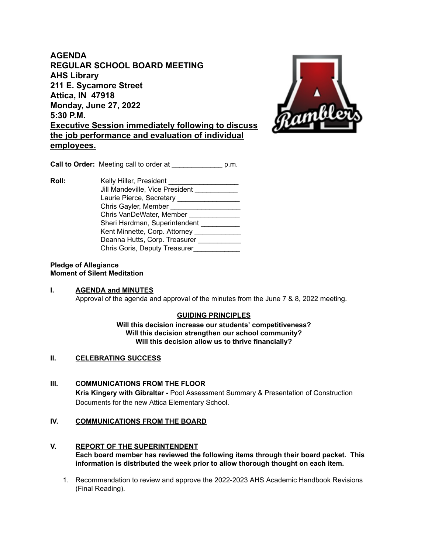**AGENDA REGULAR SCHOOL BOARD MEETING AHS Library 211 E. Sycamore Street Attica, IN 47918 Monday, June 27, 2022 5:30 P.M. Executive Session immediately following to discuss the job performance and evaluation of individual employees.**



**Call to Order:** Meeting call to order at \_\_\_\_\_\_\_\_\_\_\_\_\_ p.m.

**Roll:** Kelly Hiller, President \_\_\_\_\_\_\_\_\_\_\_\_\_\_\_\_\_\_ Jill Mandeville, Vice President Laurie Pierce, Secretary \_\_\_\_\_\_\_\_\_\_\_\_\_\_\_\_\_\_\_\_ Chris Gayler, Member \_\_\_\_\_\_\_\_\_\_\_\_\_\_\_\_\_\_\_\_\_\_ Chris VanDeWater, Member \_\_\_\_\_\_\_\_\_\_\_\_\_\_ Sheri Hardman, Superintendent \_\_\_\_\_\_\_\_\_\_ Kent Minnette, Corp. Attorney \_\_\_\_\_\_\_\_\_\_\_\_\_ Deanna Hutts, Corp. Treasurer Chris Goris, Deputy Treasurer\_\_\_\_\_\_\_\_\_\_\_\_

### **Pledge of Allegiance Moment of Silent Meditation**

## **I. AGENDA and MINUTES** Approval of the agenda and approval of the minutes from the June 7 & 8, 2022 meeting.

# **GUIDING PRINCIPLES**

**Will this decision increase our students' competitiveness? Will this decision strengthen our school community? Will this decision allow us to thrive financially?**

## **II. CELEBRATING SUCCESS**

**III. COMMUNICATIONS FROM THE FLOOR Kris Kingery with Gibraltar -** Pool Assessment Summary & Presentation of Construction Documents for the new Attica Elementary School.

## **IV. COMMUNICATIONS FROM THE BOARD**

- **V. REPORT OF THE SUPERINTENDENT Each board member has reviewed the following items through their board packet. This information is distributed the week prior to allow thorough thought on each item.**
	- 1. Recommendation to review and approve the 2022-2023 AHS Academic Handbook Revisions (Final Reading).